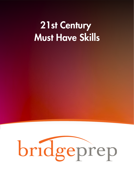## 21st Century Must Have Skills

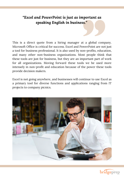## *"Excel and PowerPoint is just as important as speaking English in business."*

This is a direct quote from a hiring manager at a global company. Microsoft Office is critical for success. Excel and PowerPoint are not just a tool for business professional. It is also used by non-profits, education, and many other non-business organizations. Most people think that these tools are just for business, but they are an important part of work for all organizations. Moving forward these tools we be used more intensely in non-profit and education because of the power these tools provide decision makers.

Excel is not going anywhere, and businesses will continue to use Excel as a primary tool for diverse functions and applications ranging from IT projects to company picnics.



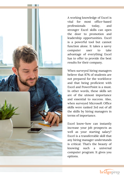

A working knowledge of Excel is vital for most office-based professionals today, and stronger Excel skills can open the door to promotion and leadership opportunities. Excel is a powerful tool but cannot function alone. It takes a savvy computer user to take advantage of everything Excel has to offer to provide the best results for their company.

When surveyed hiring managers believe that 87% of students are not prepared for the workforce and that being proficient with Excel and PowerPoint is a must. In other words, these skills set are of the utmost importance and essential to success. Also, when surveyed Microsoft Office skills were ranked 3rd out of all the skills by hiring managers in terms of importance.

Excel know-how can instantly increase your job prospects as well as your starting salary? Excel is a transferrable skill that any hiring manager understands is critical. That's the beauty of knowing such a universal computer program: It gives you options.

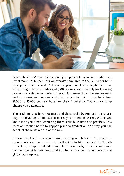

Research shows<sup>1</sup> that middle-skill job applicants who know Microsoft Excel make \$22.66 per hour on average compared to the \$20.14 per hour their peers make who don't know the program. That's roughly an extra \$20 per eight-hour workday and \$100 per workweek, simply for knowing how to use a single computer program. Moreover, full-time employees in certain industries can see a starting salary bump<sup>2</sup> of anywhere from \$1,000 to \$7,000 per year based on their Excel skills. That's not chump change you can ignore.

The students that have not mastered these skills by graduation are at a huge disadvantage. This is like math, you cannot fake this, either you know it or you don't. Mastering these skills take time and practice. This form of practice needs to happen prior to graduation, this way you can get all of the mistakes out of the way.

I know Excel and PowerPoint isn't exciting or glamour. The reality is these tools are a must and the skill set is in high demand in the job market. By simply understanding these two tools, students are more competitive with their peers and in a better position to compete in the global marketplace.

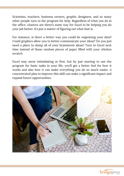Scientists, teachers, business owners, graphic designers, and so many other people turn to the program for help. Regardless of what you do in the office, chances are there's some way for Excel to be helping you do your job better; it's just a matter of figuring out what that is.

For instance, is there a better way you could be organizing your data? Could graphics allow you to better communicate your ideas? Do you just need a place to dump all of your brainstorm ideas? Turn to Excel next time instead of those random pieces of paper filled with your chicken scratch.

Excel may seem intimidating at first, but by just starting to use the program for basic tasks in your life, you'll get a better feel for how it works and also how it can make everything you do so much easier. A concentrated plan to improve this skill can make a significant impact and expand future opportunities.